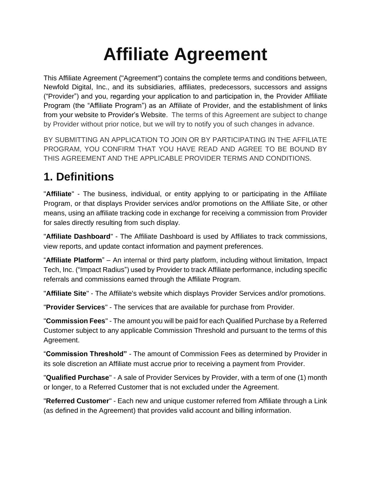# **Affiliate Agreement**

This Affiliate Agreement ("Agreement") contains the complete terms and conditions between, Newfold Digital, Inc., and its subsidiaries, affiliates, predecessors, successors and assigns ("Provider") and you, regarding your application to and participation in, the Provider Affiliate Program (the "Affiliate Program") as an Affiliate of Provider, and the establishment of links from your website to Provider's Website. The terms of this Agreement are subject to change by Provider without prior notice, but we will try to notify you of such changes in advance.

BY SUBMITTING AN APPLICATION TO JOIN OR BY PARTICIPATING IN THE AFFILIATE PROGRAM, YOU CONFIRM THAT YOU HAVE READ AND AGREE TO BE BOUND BY THIS AGREEMENT AND THE APPLICABLE PROVIDER TERMS AND CONDITIONS.

## **1. Definitions**

"**Affiliate**" - The business, individual, or entity applying to or participating in the Affiliate Program, or that displays Provider services and/or promotions on the Affiliate Site, or other means, using an affiliate tracking code in exchange for receiving a commission from Provider for sales directly resulting from such display.

"**Affiliate Dashboard**" - The Affiliate Dashboard is used by Affiliates to track commissions, view reports, and update contact information and payment preferences.

"**Affiliate Platform**" – An internal or third party platform, including without limitation, Impact Tech, Inc. ("Impact Radius") used by Provider to track Affiliate performance, including specific referrals and commissions earned through the Affiliate Program.

"**Affiliate Site**" - The Affiliate's website which displays Provider Services and/or promotions.

"**Provider Services**" - The services that are available for purchase from Provider.

"**Commission Fees**" - The amount you will be paid for each Qualified Purchase by a Referred Customer subject to any applicable Commission Threshold and pursuant to the terms of this Agreement.

"**Commission Threshold"** - The amount of Commission Fees as determined by Provider in its sole discretion an Affiliate must accrue prior to receiving a payment from Provider.

"**Qualified Purchase**" - A sale of Provider Services by Provider, with a term of one (1) month or longer, to a Referred Customer that is not excluded under the Agreement.

"**Referred Customer**" - Each new and unique customer referred from Affiliate through a Link (as defined in the Agreement) that provides valid account and billing information.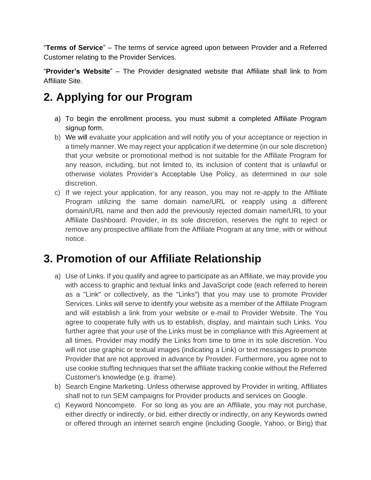"**Terms of Service**" – The terms of service agreed upon between Provider and a Referred Customer relating to the Provider Services.

"**Provider's Website**" – The Provider designated website that Affiliate shall link to from Affiliate Site.

## **2. Applying for our Program**

- a) To begin the enrollment process, you must submit a completed Affiliate Program signup form.
- b) We will evaluate your application and will notify you of your acceptance or rejection in a timely manner. We may reject your application if we determine (in our sole discretion) that your website or promotional method is not suitable for the Affiliate Program for any reason, including, but not limited to, its inclusion of content that is unlawful or otherwise violates Provider's Acceptable Use Policy, as determined in our sole discretion.
- c) If we reject your application, for any reason, you may not re-apply to the Affiliate Program utilizing the same domain name/URL or reapply using a different domain/URL name and then add the previously rejected domain name/URL to your Affiliate Dashboard. Provider, in its sole discretion, reserves the right to reject or remove any prospective affiliate from the Affiliate Program at any time, with or without notice.

## **3. Promotion of our Affiliate Relationship**

- a) Use of Links. If you qualify and agree to participate as an Affiliate, we may provide you with access to graphic and textual links and JavaScript code (each referred to herein as a "Link" or collectively, as the "Links") that you may use to promote Provider Services. Links will serve to identify your website as a member of the Affiliate Program and will establish a link from your website or e-mail to Provider Website. The You agree to cooperate fully with us to establish, display, and maintain such Links. You further agree that your use of the Links must be in compliance with this Agreement at all times. Provider may modify the Links from time to time in its sole discretion. You will not use graphic or textual images (indicating a Link) or text messages to promote Provider that are not approved in advance by Provider. Furthermore, you agree not to use cookie stuffing techniques that set the affiliate tracking cookie without the Referred Customer's knowledge (e.g. iframe).
- b) Search Engine Marketing. Unless otherwise approved by Provider in writing, Affiliates shall not to run SEM campaigns for Provider products and services on Google.
- c) Keyword Noncompete. For so long as you are an Affiliate, you may not purchase, either directly or indirectly, or bid, either directly or indirectly, on any Keywords owned or offered through an internet search engine (including Google, Yahoo, or Bing) that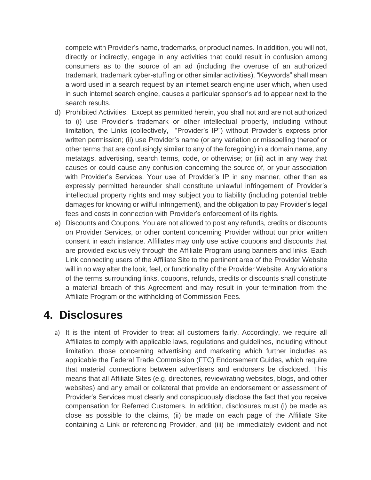compete with Provider's name, trademarks, or product names. In addition, you will not, directly or indirectly, engage in any activities that could result in confusion among consumers as to the source of an ad (including the overuse of an authorized trademark, trademark cyber-stuffing or other similar activities). "Keywords" shall mean a word used in a search request by an internet search engine user which, when used in such internet search engine, causes a particular sponsor's ad to appear next to the search results.

- d) Prohibited Activities. Except as permitted herein, you shall not and are not authorized to (i) use Provider's trademark or other intellectual property, including without limitation, the Links (collectively, "Provider's IP") without Provider's express prior written permission; (ii) use Provider's name (or any variation or misspelling thereof or other terms that are confusingly similar to any of the foregoing) in a domain name, any metatags, advertising, search terms, code, or otherwise; or (iii) act in any way that causes or could cause any confusion concerning the source of, or your association with Provider's Services. Your use of Provider's IP in any manner, other than as expressly permitted hereunder shall constitute unlawful infringement of Provider's intellectual property rights and may subject you to liability (including potential treble damages for knowing or willful infringement), and the obligation to pay Provider's legal fees and costs in connection with Provider's enforcement of its rights.
- e) Discounts and Coupons. You are not allowed to post any refunds, credits or discounts on Provider Services, or other content concerning Provider without our prior written consent in each instance. Affiliates may only use active coupons and discounts that are provided exclusively through the Affiliate Program using banners and links. Each Link connecting users of the Affiliate Site to the pertinent area of the Provider Website will in no way alter the look, feel, or functionality of the Provider Website. Any violations of the terms surrounding links, coupons, refunds, credits or discounts shall constitute a material breach of this Agreement and may result in your termination from the Affiliate Program or the withholding of Commission Fees.

#### **4. Disclosures**

a) It is the intent of Provider to treat all customers fairly. Accordingly, we require all Affiliates to comply with applicable laws, regulations and guidelines, including without limitation, those concerning advertising and marketing which further includes as applicable the Federal Trade Commission (FTC) Endorsement Guides, which require that material connections between advertisers and endorsers be disclosed. This means that all Affiliate Sites (e.g. directories, review/rating websites, blogs, and other websites) and any email or collateral that provide an endorsement or assessment of Provider's Services must clearly and conspicuously disclose the fact that you receive compensation for Referred Customers. In addition, disclosures must (i) be made as close as possible to the claims, (ii) be made on each page of the Affiliate Site containing a Link or referencing Provider, and (iii) be immediately evident and not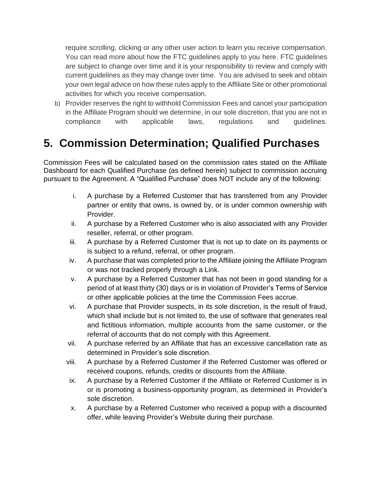require scrolling, clicking or any other user action to learn you receive compensation. You can read more about how the FTC guidelines apply to you [here.](https://www.ftc.gov/business-guidance/resources/ftcs-endorsement-guides-what-people-are-asking#affiliate) FTC guidelines are subject to change over time and it is your responsibility to review and comply with current guidelines as they may change over time. You are advised to seek and obtain your own legal advice on how these rules apply to the Affiliate Site or other promotional activities for which you receive compensation.

b) Provider reserves the right to withhold Commission Fees and cancel your participation in the Affiliate Program should we determine, in our sole discretion, that you are not in compliance with applicable laws, regulations and guidelines.

## **5. Commission Determination; Qualified Purchases**

Commission Fees will be calculated based on the commission rates stated on the Affiliate Dashboard for each Qualified Purchase (as defined herein) subject to commission accruing pursuant to the Agreement. A "Qualified Purchase" does NOT include any of the following:

- i. A purchase by a Referred Customer that has transferred from any Provider partner or entity that owns, is owned by, or is under common ownership with Provider.
- ii. A purchase by a Referred Customer who is also associated with any Provider reseller, referral, or other program.
- iii. A purchase by a Referred Customer that is not up to date on its payments or is subject to a refund, referral, or other program.
- iv. A purchase that was completed prior to the Affiliate joining the Affiliate Program or was not tracked properly through a Link.
- v. A purchase by a Referred Customer that has not been in good standing for a period of at least thirty (30) days or is in violation of Provider's Terms of Service or other applicable policies at the time the Commission Fees accrue.
- vi. A purchase that Provider suspects, in its sole discretion, is the result of fraud, which shall include but is not limited to, the use of software that generates real and fictitious information, multiple accounts from the same customer, or the referral of accounts that do not comply with this Agreement.
- vii. A purchase referred by an Affiliate that has an excessive cancellation rate as determined in Provider's sole discretion.
- viii. A purchase by a Referred Customer if the Referred Customer was offered or received coupons, refunds, credits or discounts from the Affiliate.
- ix. A purchase by a Referred Customer if the Affiliate or Referred Customer is in or is promoting a business-opportunity program, as determined in Provider's sole discretion.
- x. A purchase by a Referred Customer who received a popup with a discounted offer, while leaving Provider's Website during their purchase.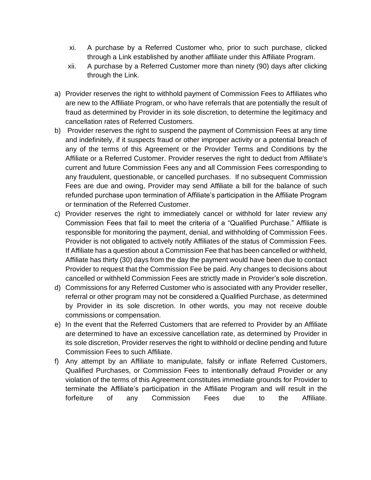- xi. A purchase by a Referred Customer who, prior to such purchase, clicked through a Link established by another affiliate under this Affiliate Program.
- xii. A purchase by a Referred Customer more than ninety (90) days after clicking through the Link.
- a) Provider reserves the right to withhold payment of Commission Fees to Affiliates who are new to the Affiliate Program, or who have referrals that are potentially the result of fraud as determined by Provider in its sole discretion, to determine the legitimacy and cancellation rates of Referred Customers.
- b) Provider reserves the right to suspend the payment of Commission Fees at any time and indefinitely, if it suspects fraud or other improper activity or a potential breach of any of the terms of this Agreement or the Provider Terms and Conditions by the Affiliate or a Referred Customer. Provider reserves the right to deduct from Affiliate's current and future Commission Fees any and all Commission Fees corresponding to any fraudulent, questionable, or cancelled purchases. If no subsequent Commission Fees are due and owing, Provider may send Affiliate a bill for the balance of such refunded purchase upon termination of Affiliate's participation in the Affiliate Program or termination of the Referred Customer.
- c) Provider reserves the right to immediately cancel or withhold for later review any Commission Fees that fail to meet the criteria of a "Qualified Purchase." Affiliate is responsible for monitoring the payment, denial, and withholding of Commission Fees. Provider is not obligated to actively notify Affiliates of the status of Commission Fees. If Affiliate has a question about a Commission Fee that has been cancelled or withheld, Affiliate has thirty (30) days from the day the payment would have been due to contact Provider to request that the Commission Fee be paid. Any changes to decisions about cancelled or withheld Commission Fees are strictly made in Provider's sole discretion.
- d) Commissions for any Referred Customer who is associated with any Provider reseller, referral or other program may not be considered a Qualified Purchase, as determined by Provider in its sole discretion. In other words, you may not receive double commissions or compensation.
- e) In the event that the Referred Customers that are referred to Provider by an Affiliate are determined to have an excessive cancellation rate, as determined by Provider in its sole discretion, Provider reserves the right to withhold or decline pending and future Commission Fees to such Affiliate.
- f) Any attempt by an Affiliate to manipulate, falsify or inflate Referred Customers, Qualified Purchases, or Commission Fees to intentionally defraud Provider or any violation of the terms of this Agreement constitutes immediate grounds for Provider to terminate the Affiliate's participation in the Affiliate Program and will result in the forfeiture of any Commission Fees due to the Affiliate.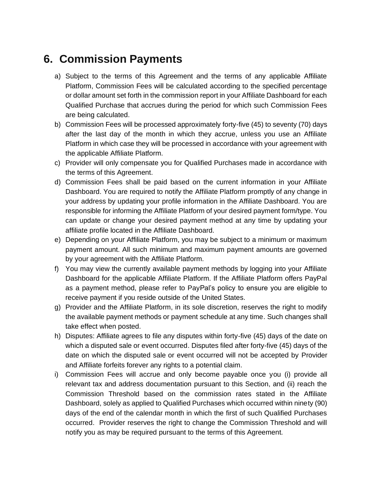## **6. Commission Payments**

- a) Subject to the terms of this Agreement and the terms of any applicable Affiliate Platform, Commission Fees will be calculated according to the specified percentage or dollar amount set forth in the commission report in your Affiliate Dashboard for each Qualified Purchase that accrues during the period for which such Commission Fees are being calculated.
- b) Commission Fees will be processed approximately forty-five (45) to seventy (70) days after the last day of the month in which they accrue, unless you use an Affiliate Platform in which case they will be processed in accordance with your agreement with the applicable Affiliate Platform.
- c) Provider will only compensate you for Qualified Purchases made in accordance with the terms of this Agreement.
- d) Commission Fees shall be paid based on the current information in your Affiliate Dashboard. You are required to notify the Affiliate Platform promptly of any change in your address by updating your profile information in the Affiliate Dashboard. You are responsible for informing the Affiliate Platform of your desired payment form/type. You can update or change your desired payment method at any time by updating your affiliate profile located in the Affiliate Dashboard.
- e) Depending on your Affiliate Platform, you may be subject to a minimum or maximum payment amount. All such minimum and maximum payment amounts are governed by your agreement with the Affiliate Platform.
- f) You may view the currently available payment methods by logging into your Affiliate Dashboard for the applicable Affiliate Platform. If the Affiliate Platform offers PayPal as a payment method, please refer to PayPal's policy to ensure you are eligible to receive payment if you reside outside of the United States.
- g) Provider and the Affiliate Platform, in its sole discretion, reserves the right to modify the available payment methods or payment schedule at any time. Such changes shall take effect when posted.
- h) Disputes: Affiliate agrees to file any disputes within forty-five (45) days of the date on which a disputed sale or event occurred. Disputes filed after forty-five (45) days of the date on which the disputed sale or event occurred will not be accepted by Provider and Affiliate forfeits forever any rights to a potential claim.
- i) Commission Fees will accrue and only become payable once you (i) provide all relevant tax and address documentation pursuant to this Section, and (ii) reach the Commission Threshold based on the commission rates stated in the Affiliate Dashboard, solely as applied to Qualified Purchases which occurred within ninety (90) days of the end of the calendar month in which the first of such Qualified Purchases occurred. Provider reserves the right to change the Commission Threshold and will notify you as may be required pursuant to the terms of this Agreement.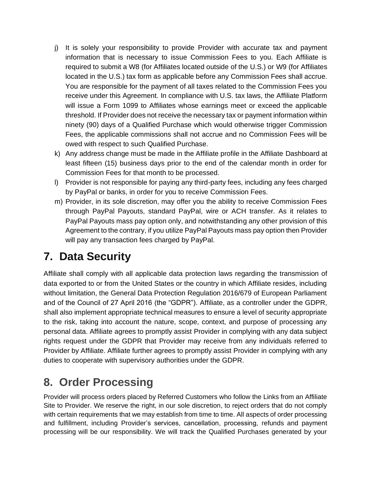- j) It is solely your responsibility to provide Provider with accurate tax and payment information that is necessary to issue Commission Fees to you. Each Affiliate is required to submit a W8 (for Affiliates located outside of the U.S.) or W9 (for Affiliates located in the U.S.) tax form as applicable before any Commission Fees shall accrue. You are responsible for the payment of all taxes related to the Commission Fees you receive under this Agreement. In compliance with U.S. tax laws, the Affiliate Platform will issue a Form 1099 to Affiliates whose earnings meet or exceed the applicable threshold. If Provider does not receive the necessary tax or payment information within ninety (90) days of a Qualified Purchase which would otherwise trigger Commission Fees, the applicable commissions shall not accrue and no Commission Fees will be owed with respect to such Qualified Purchase.
- k) Any address change must be made in the Affiliate profile in the Affiliate Dashboard at least fifteen (15) business days prior to the end of the calendar month in order for Commission Fees for that month to be processed.
- l) Provider is not responsible for paying any third-party fees, including any fees charged by PayPal or banks, in order for you to receive Commission Fees.
- m) Provider, in its sole discretion, may offer you the ability to receive Commission Fees through PayPal Payouts, standard PayPal, wire or ACH transfer. As it relates to PayPal Payouts mass pay option only, and notwithstanding any other provision of this Agreement to the contrary, if you utilize PayPal Payouts mass pay option then Provider will pay any transaction fees charged by PayPal.

## **7. Data Security**

Affiliate shall comply with all applicable data protection laws regarding the transmission of data exported to or from the United States or the country in which Affiliate resides, including without limitation, the General Data Protection Regulation 2016/679 of European Parliament and of the Council of 27 April 2016 (the "GDPR"). Affiliate, as a controller under the GDPR, shall also implement appropriate technical measures to ensure a level of security appropriate to the risk, taking into account the nature, scope, context, and purpose of processing any personal data. Affiliate agrees to promptly assist Provider in complying with any data subject rights request under the GDPR that Provider may receive from any individuals referred to Provider by Affiliate. Affiliate further agrees to promptly assist Provider in complying with any duties to cooperate with supervisory authorities under the GDPR.

## **8. Order Processing**

Provider will process orders placed by Referred Customers who follow the Links from an Affiliate Site to Provider. We reserve the right, in our sole discretion, to reject orders that do not comply with certain requirements that we may establish from time to time. All aspects of order processing and fulfillment, including Provider's services, cancellation, processing, refunds and payment processing will be our responsibility. We will track the Qualified Purchases generated by your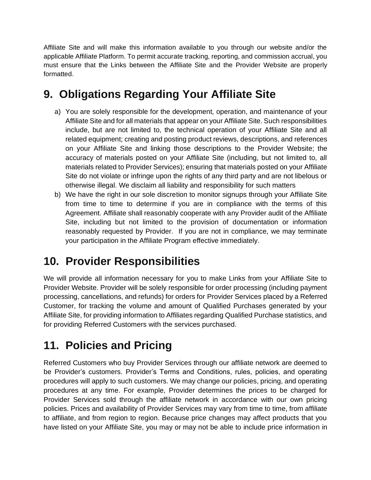Affiliate Site and will make this information available to you through our website and/or the applicable Affiliate Platform. To permit accurate tracking, reporting, and commission accrual, you must ensure that the Links between the Affiliate Site and the Provider Website are properly formatted.

## **9. Obligations Regarding Your Affiliate Site**

- a) You are solely responsible for the development, operation, and maintenance of your Affiliate Site and for all materials that appear on your Affiliate Site. Such responsibilities include, but are not limited to, the technical operation of your Affiliate Site and all related equipment; creating and posting product reviews, descriptions, and references on your Affiliate Site and linking those descriptions to the Provider Website; the accuracy of materials posted on your Affiliate Site (including, but not limited to, all materials related to Provider Services); ensuring that materials posted on your Affiliate Site do not violate or infringe upon the rights of any third party and are not libelous or otherwise illegal. We disclaim all liability and responsibility for such matters
- b) We have the right in our sole discretion to monitor signups through your Affiliate Site from time to time to determine if you are in compliance with the terms of this Agreement. Affiliate shall reasonably cooperate with any Provider audit of the Affiliate Site, including but not limited to the provision of documentation or information reasonably requested by Provider. If you are not in compliance, we may terminate your participation in the Affiliate Program effective immediately.

#### **10. Provider Responsibilities**

We will provide all information necessary for you to make Links from your Affiliate Site to Provider Website. Provider will be solely responsible for order processing (including payment processing, cancellations, and refunds) for orders for Provider Services placed by a Referred Customer, for tracking the volume and amount of Qualified Purchases generated by your Affiliate Site, for providing information to Affiliates regarding Qualified Purchase statistics, and for providing Referred Customers with the services purchased.

## **11. Policies and Pricing**

Referred Customers who buy Provider Services through our affiliate network are deemed to be Provider's customers. Provider's Terms and Conditions, rules, policies, and operating procedures will apply to such customers. We may change our policies, pricing, and operating procedures at any time. For example, Provider determines the prices to be charged for Provider Services sold through the affiliate network in accordance with our own pricing policies. Prices and availability of Provider Services may vary from time to time, from affiliate to affiliate, and from region to region. Because price changes may affect products that you have listed on your Affiliate Site, you may or may not be able to include price information in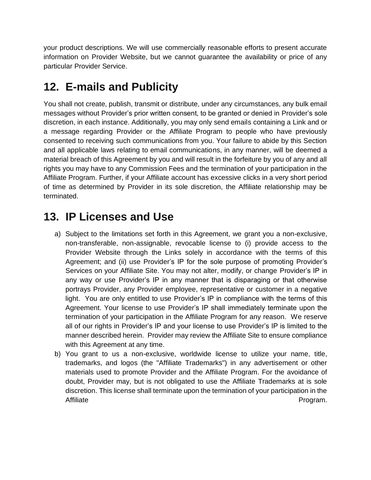your product descriptions. We will use commercially reasonable efforts to present accurate information on Provider Website, but we cannot guarantee the availability or price of any particular Provider Service.

## **12. E-mails and Publicity**

You shall not create, publish, transmit or distribute, under any circumstances, any bulk email messages without Provider's prior written consent, to be granted or denied in Provider's sole discretion, in each instance. Additionally, you may only send emails containing a Link and or a message regarding Provider or the Affiliate Program to people who have previously consented to receiving such communications from you. Your failure to abide by this Section and all applicable laws relating to email communications, in any manner, will be deemed a material breach of this Agreement by you and will result in the forfeiture by you of any and all rights you may have to any Commission Fees and the termination of your participation in the Affiliate Program. Further, if your Affiliate account has excessive clicks in a very short period of time as determined by Provider in its sole discretion, the Affiliate relationship may be terminated.

#### **13. IP Licenses and Use**

- a) Subject to the limitations set forth in this Agreement, we grant you a non-exclusive, non-transferable, non-assignable, revocable license to (i) provide access to the Provider Website through the Links solely in accordance with the terms of this Agreement; and (ii) use Provider's IP for the sole purpose of promoting Provider's Services on your Affiliate Site. You may not alter, modify, or change Provider's IP in any way or use Provider's IP in any manner that is disparaging or that otherwise portrays Provider, any Provider employee, representative or customer in a negative light. You are only entitled to use Provider's IP in compliance with the terms of this Agreement. Your license to use Provider's IP shall immediately terminate upon the termination of your participation in the Affiliate Program for any reason. We reserve all of our rights in Provider's IP and your license to use Provider's IP is limited to the manner described herein. Provider may review the Affiliate Site to ensure compliance with this Agreement at any time.
- b) You grant to us a non-exclusive, worldwide license to utilize your name, title, trademarks, and logos (the "Affiliate Trademarks") in any advertisement or other materials used to promote Provider and the Affiliate Program. For the avoidance of doubt, Provider may, but is not obligated to use the Affiliate Trademarks at is sole discretion. This license shall terminate upon the termination of your participation in the Affiliate **Program.**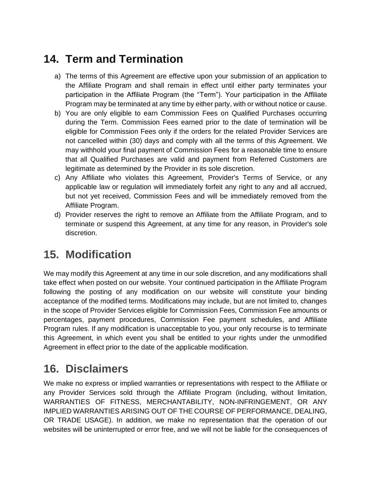## **14. Term and Termination**

- a) The terms of this Agreement are effective upon your submission of an application to the Affiliate Program and shall remain in effect until either party terminates your participation in the Affiliate Program (the "Term"). Your participation in the Affiliate Program may be terminated at any time by either party, with or without notice or cause.
- b) You are only eligible to earn Commission Fees on Qualified Purchases occurring during the Term. Commission Fees earned prior to the date of termination will be eligible for Commission Fees only if the orders for the related Provider Services are not cancelled within (30) days and comply with all the terms of this Agreement. We may withhold your final payment of Commission Fees for a reasonable time to ensure that all Qualified Purchases are valid and payment from Referred Customers are legitimate as determined by the Provider in its sole discretion.
- c) Any Affiliate who violates this Agreement, Provider's Terms of Service, or any applicable law or regulation will immediately forfeit any right to any and all accrued, but not yet received, Commission Fees and will be immediately removed from the Affiliate Program.
- d) Provider reserves the right to remove an Affiliate from the Affiliate Program, and to terminate or suspend this Agreement, at any time for any reason, in Provider's sole discretion.

#### **15. Modification**

We may modify this Agreement at any time in our sole discretion, and any modifications shall take effect when posted on our website. Your continued participation in the Affiliate Program following the posting of any modification on our website will constitute your binding acceptance of the modified terms. Modifications may include, but are not limited to, changes in the scope of Provider Services eligible for Commission Fees, Commission Fee amounts or percentages, payment procedures, Commission Fee payment schedules, and Affiliate Program rules. If any modification is unacceptable to you, your only recourse is to terminate this Agreement, in which event you shall be entitled to your rights under the unmodified Agreement in effect prior to the date of the applicable modification.

#### **16. Disclaimers**

We make no express or implied warranties or representations with respect to the Affiliate or any Provider Services sold through the Affiliate Program (including, without limitation, WARRANTIES OF FITNESS, MERCHANTABILITY, NON-INFRINGEMENT, OR ANY IMPLIED WARRANTIES ARISING OUT OF THE COURSE OF PERFORMANCE, DEALING, OR TRADE USAGE). In addition, we make no representation that the operation of our websites will be uninterrupted or error free, and we will not be liable for the consequences of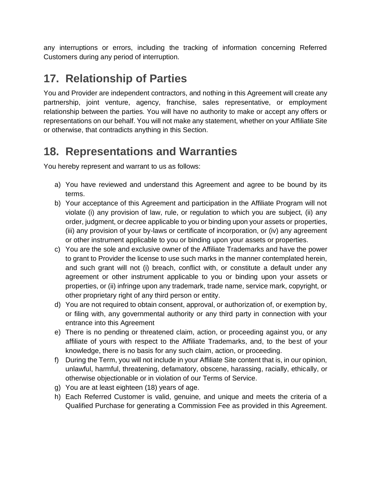any interruptions or errors, including the tracking of information concerning Referred Customers during any period of interruption.

## **17. Relationship of Parties**

You and Provider are independent contractors, and nothing in this Agreement will create any partnership, joint venture, agency, franchise, sales representative, or employment relationship between the parties. You will have no authority to make or accept any offers or representations on our behalf. You will not make any statement, whether on your Affiliate Site or otherwise, that contradicts anything in this Section.

### **18. Representations and Warranties**

You hereby represent and warrant to us as follows:

- a) You have reviewed and understand this Agreement and agree to be bound by its terms.
- b) Your acceptance of this Agreement and participation in the Affiliate Program will not violate (i) any provision of law, rule, or regulation to which you are subject, (ii) any order, judgment, or decree applicable to you or binding upon your assets or properties, (iii) any provision of your by-laws or certificate of incorporation, or (iv) any agreement or other instrument applicable to you or binding upon your assets or properties.
- c) You are the sole and exclusive owner of the Affiliate Trademarks and have the power to grant to Provider the license to use such marks in the manner contemplated herein, and such grant will not (i) breach, conflict with, or constitute a default under any agreement or other instrument applicable to you or binding upon your assets or properties, or (ii) infringe upon any trademark, trade name, service mark, copyright, or other proprietary right of any third person or entity.
- d) You are not required to obtain consent, approval, or authorization of, or exemption by, or filing with, any governmental authority or any third party in connection with your entrance into this Agreement
- e) There is no pending or threatened claim, action, or proceeding against you, or any affiliate of yours with respect to the Affiliate Trademarks, and, to the best of your knowledge, there is no basis for any such claim, action, or proceeding.
- f) During the Term, you will not include in your Affiliate Site content that is, in our opinion, unlawful, harmful, threatening, defamatory, obscene, harassing, racially, ethically, or otherwise objectionable or in violation of our Terms of Service.
- g) You are at least eighteen (18) years of age.
- h) Each Referred Customer is valid, genuine, and unique and meets the criteria of a Qualified Purchase for generating a Commission Fee as provided in this Agreement.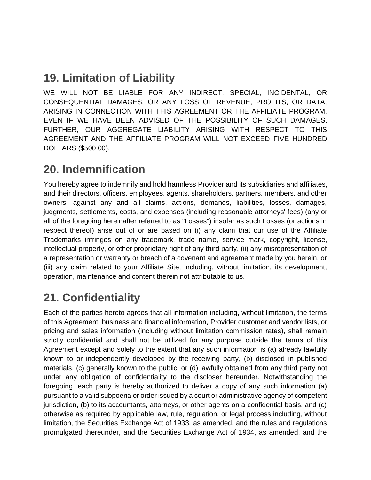#### **19. Limitation of Liability**

WE WILL NOT BE LIABLE FOR ANY INDIRECT, SPECIAL, INCIDENTAL, OR CONSEQUENTIAL DAMAGES, OR ANY LOSS OF REVENUE, PROFITS, OR DATA, ARISING IN CONNECTION WITH THIS AGREEMENT OR THE AFFILIATE PROGRAM, EVEN IF WE HAVE BEEN ADVISED OF THE POSSIBILITY OF SUCH DAMAGES. FURTHER, OUR AGGREGATE LIABILITY ARISING WITH RESPECT TO THIS AGREEMENT AND THE AFFILIATE PROGRAM WILL NOT EXCEED FIVE HUNDRED DOLLARS (\$500.00).

#### **20. Indemnification**

You hereby agree to indemnify and hold harmless Provider and its subsidiaries and affiliates, and their directors, officers, employees, agents, shareholders, partners, members, and other owners, against any and all claims, actions, demands, liabilities, losses, damages, judgments, settlements, costs, and expenses (including reasonable attorneys' fees) (any or all of the foregoing hereinafter referred to as "Losses") insofar as such Losses (or actions in respect thereof) arise out of or are based on (i) any claim that our use of the Affiliate Trademarks infringes on any trademark, trade name, service mark, copyright, license, intellectual property, or other proprietary right of any third party, (ii) any misrepresentation of a representation or warranty or breach of a covenant and agreement made by you herein, or (iii) any claim related to your Affiliate Site, including, without limitation, its development, operation, maintenance and content therein not attributable to us.

## **21. Confidentiality**

Each of the parties hereto agrees that all information including, without limitation, the terms of this Agreement, business and financial information, Provider customer and vendor lists, or pricing and sales information (including without limitation commission rates), shall remain strictly confidential and shall not be utilized for any purpose outside the terms of this Agreement except and solely to the extent that any such information is (a) already lawfully known to or independently developed by the receiving party, (b) disclosed in published materials, (c) generally known to the public, or (d) lawfully obtained from any third party not under any obligation of confidentiality to the discloser hereunder. Notwithstanding the foregoing, each party is hereby authorized to deliver a copy of any such information (a) pursuant to a valid subpoena or order issued by a court or administrative agency of competent jurisdiction, (b) to its accountants, attorneys, or other agents on a confidential basis, and (c) otherwise as required by applicable law, rule, regulation, or legal process including, without limitation, the Securities Exchange Act of 1933, as amended, and the rules and regulations promulgated thereunder, and the Securities Exchange Act of 1934, as amended, and the